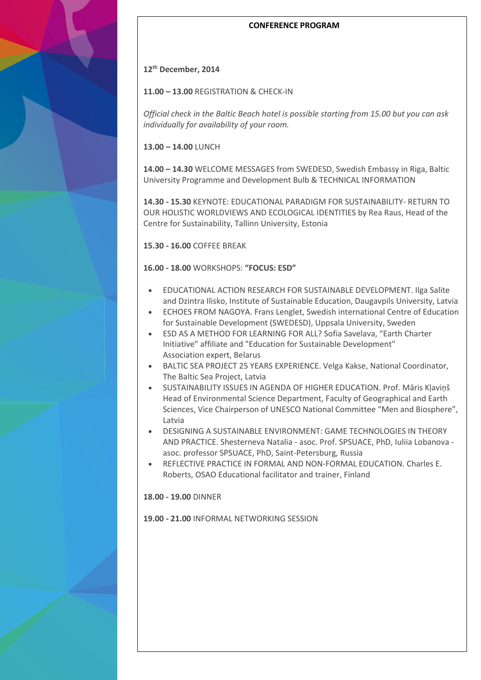### **CONFERENCE PROGRAM**

#### **12th December, 2014**

**11.00 – 13.00** REGISTRATION & CHECK-IN

*Official check in the Baltic Beach hotel is possible starting from 15.00 but you can ask individually for availability of your room.*

**13.00 – 14.00** LUNCH

**14.00 – 14.30** WELCOME MESSAGES from SWEDESD, Swedish Embassy in Riga, Baltic University Programme and Development Bulb & TECHNICAL INFORMATION

**14.30 - 15.30** KEYNOTE: EDUCATIONAL PARADIGM FOR SUSTAINABILITY- RETURN TO OUR HOLISTIC WORLDVIEWS AND ECOLOGICAL IDENTITIES by Rea Raus, Head of the Centre for Sustainability, Tallinn University, Estonia

**15.30 - 16.00** COFFEE BREAK

**16.00 - 18.00** WORKSHOPS: **"FOCUS: ESD"**

- EDUCATIONAL ACTION RESEARCH FOR SUSTAINABLE DEVELOPMENT. Ilga Salite and Dzintra Ilisko, Institute of Sustainable Education, Daugavpils University, Latvia
- ECHOES FROM NAGOYA. Frans Lenglet, Swedish international Centre of Education for Sustainable Development (SWEDESD), Uppsala University, Sweden
- ESD AS A METHOD FOR LEARNING FOR ALL? Sofia Savelava, "Earth Charter Initiative" affiliate and "Education for Sustainable Development" Association expert, Belarus
- BALTIC SEA PROJECT 25 YEARS EXPERIENCE. Velga Kakse, National Coordinator, The Baltic Sea Project, Latvia
- SUSTAINABILITY ISSUES IN AGENDA OF HIGHER EDUCATION. Prof. Māris Kļaviņš Head of Environmental Science Department, Faculty of Geographical and Earth Sciences, Vice Chairperson of UNESCO National Committee "Men and Biosphere", Latvia
- DESIGNING A SUSTAINABLE ENVIRONMENT: GAME TECHNOLOGIES IN THEORY AND PRACTICE. Shesterneva Natalia - asoc. Prof. SPSUACE, PhD, Iuliia Lobanova asoc. professor SPSUACE, PhD, Saint-Petersburg, Russia
- REFLECTIVE PRACTICE IN FORMAL AND NON-FORMAL EDUCATION. Charles E. Roberts, OSAO Educational facilitator and trainer, Finland

**18.00 - 19.00** DINNER

**19.00 - 21.00** INFORMAL NETWORKING SESSION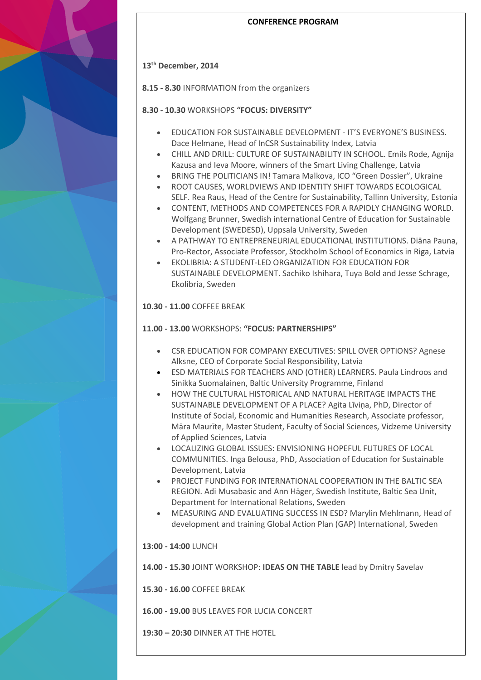#### **CONFERENCE PROGRAM**

# **13th December, 2014**

**8.15 - 8.30** INFORMATION from the organizers

# **8.30 - 10.30** WORKSHOPS **"FOCUS: DIVERSITY"**

- EDUCATION FOR SUSTAINABLE DEVELOPMENT IT'S EVERYONE'S BUSINESS. Dace Helmane, Head of InCSR Sustainability Index, Latvia
- CHILL AND DRILL: CULTURE OF SUSTAINABILITY IN SCHOOL. Emils Rode, Agnija Kazusa and Ieva Moore, winners of the Smart Living Challenge, Latvia
- BRING THE POLITICIANS IN! Tamara Malkova, ICO "Green Dossier", Ukraine
- ROOT CAUSES, WORLDVIEWS AND IDENTITY SHIFT TOWARDS ECOLOGICAL SELF. Rea Raus, Head of the Centre for Sustainability, Tallinn University, Estonia
- CONTENT, METHODS AND COMPETENCES FOR A RAPIDLY CHANGING WORLD. Wolfgang Brunner, Swedish international Centre of Education for Sustainable Development (SWEDESD), Uppsala University, Sweden
- A PATHWAY TO ENTREPRENEURIAL EDUCATIONAL INSTITUTIONS. Diāna Pauna, Pro-Rector, Associate Professor, Stockholm School of Economics in Riga, Latvia
- EKOLIBRIA: A STUDENT-LED ORGANIZATION FOR EDUCATION FOR SUSTAINABLE DEVELOPMENT. Sachiko Ishihara, Tuya Bold and Jesse Schrage, Ekolibria, Sweden

# **10.30 - 11.00** COFFEE BREAK

## **11.00 - 13.00** WORKSHOPS: **"FOCUS: PARTNERSHIPS"**

- CSR EDUCATION FOR COMPANY EXECUTIVES: SPILL OVER OPTIONS? Agnese Alksne, CEO of Corporate Social Responsibility, Latvia
- ESD MATERIALS FOR TEACHERS AND (OTHER) LEARNERS. Paula Lindroos and Sinikka Suomalainen, Baltic University Programme, Finland
- **HOW THE CULTURAL HISTORICAL AND NATURAL HERITAGE IMPACTS THE** SUSTAINABLE DEVELOPMENT OF A PLACE? Agita Līviņa, PhD, Director of Institute of Social, Economic and Humanities Research, Associate professor, Māra Maurīte, Master Student, Faculty of Social Sciences, Vidzeme University of Applied Sciences, Latvia
- LOCALIZING GLOBAL ISSUES: ENVISIONING HOPEFUL FUTURES OF LOCAL COMMUNITIES. Inga Belousa, PhD, Association of Education for Sustainable Development, Latvia
- PROJECT FUNDING FOR INTERNATIONAL COOPERATION IN THE BALTIC SEA REGION. Adi Musabasic and Ann Häger, Swedish Institute, Baltic Sea Unit, Department for International Relations, Sweden
- MEASURING AND EVALUATING SUCCESS IN ESD? Marylin Mehlmann, Head of development and trainin[g Global Action Plan \(GAP\) International,](http://www.globalactionplan.com/) Sweden

**13:00 - 14:00** LUNCH

**14.00 - 15.30** JOINT WORKSHOP: **IDEAS ON THE TABLE** lead by Dmitry Savelav

**15.30 - 16.00** COFFEE BREAK

**16.00 - 19.00** BUS LEAVES FOR LUCIA CONCERT

**19:30 – 20:30** DINNER AT THE HOTEL